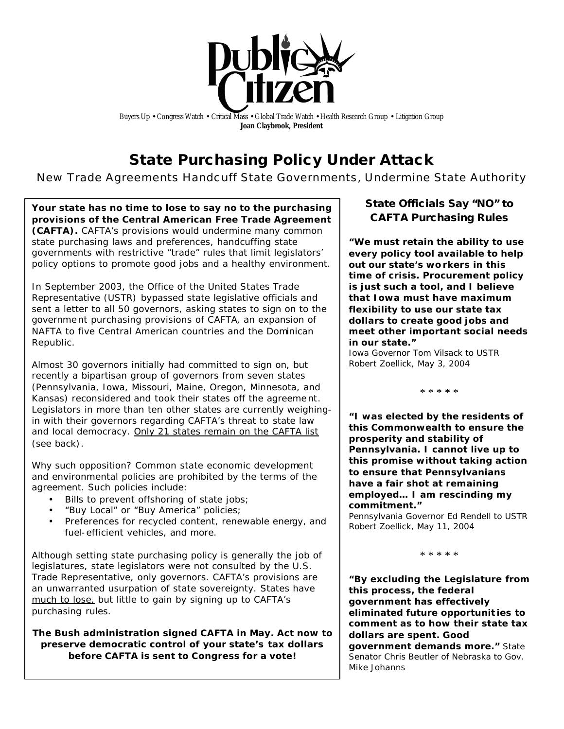

Buyers Up • Congress Watch • Critical Mass • Global Trade Watch • Health Research Group • Litigation Group **Joan Claybrook, President**

# **State Purchasing Policy Under Attack**

*New Trade Agreements Handcuff State Governments, Undermine State Authority*

**Your state has no time to lose to say no to the purchasing provisions of the Central American Free Trade Agreement (CAFTA).** CAFTA's provisions would undermine many common state purchasing laws and preferences, handcuffing state governments with restrictive "trade" rules that limit legislators' policy options to promote good jobs and a healthy environment.

In September 2003, the Office of the United States Trade Representative (USTR) bypassed state legislative officials and sent a letter to all 50 governors, asking states to sign on to the government purchasing provisions of CAFTA, an expansion of NAFTA to five Central American countries and the Dominican Republic.

Almost 30 governors initially had committed to sign on, but recently a bipartisan group of governors from seven states (Pennsylvania, Iowa, Missouri, Maine, Oregon, Minnesota, and Kansas) reconsidered and took their states off the agreement. Legislators in more than ten other states are currently weighingin with their governors regarding CAFTA's threat to state law and local democracy. Only 21 states remain on the CAFTA list (see back).

Why such opposition? Common state economic development and environmental policies are prohibited by the terms of the agreement. Such policies include:

- Bills to prevent offshoring of state jobs;
- "Buy Local" or "Buy America" policies;
- Preferences for recycled content, renewable energy, and fuel-efficient vehicles, and more.

Although setting state purchasing policy is generally the job of legislatures, state legislators were not consulted by the U.S. Trade Representative, only governors. CAFTA's provisions are an unwarranted usurpation of state sovereignty. States have much to lose, but little to gain by signing up to CAFTA's purchasing rules.

*The Bush administration signed CAFTA in May. Act now to preserve democratic control of your state's tax dollars before CAFTA is sent to Congress for a vote!*

## **State Officials Say "NO" to CAFTA Purchasing Rules**

**"We must retain the ability to use every policy tool available to help out our state's workers in this time of crisis. Procurement policy is just such a tool, and I believe that Iowa must have maximum flexibility to use our state tax dollars to create good jobs and meet other important social needs in our state."**

*Iowa Governor Tom Vilsack to USTR Robert Zoellick, May 3, 2004* 

\* \* \* \* \*

**"I was elected by the residents of this Commonwealth to ensure the prosperity and stability of Pennsylvania. I cannot live up to this promise without taking action to ensure that Pennsylvanians have a fair shot at remaining employed… I am rescinding my commitment."**

*Pennsylvania Governor Ed Rendell to USTR Robert Zoellick, May 11, 2004*

\* \* \* \* \*

**"By excluding the Legislature from this process, the federal government has effectively eliminated future opportunit ies to comment as to how their state tax dollars are spent. Good government demands more."** *State Senator Chris Beutler of Nebraska to Gov. Mike Johanns*